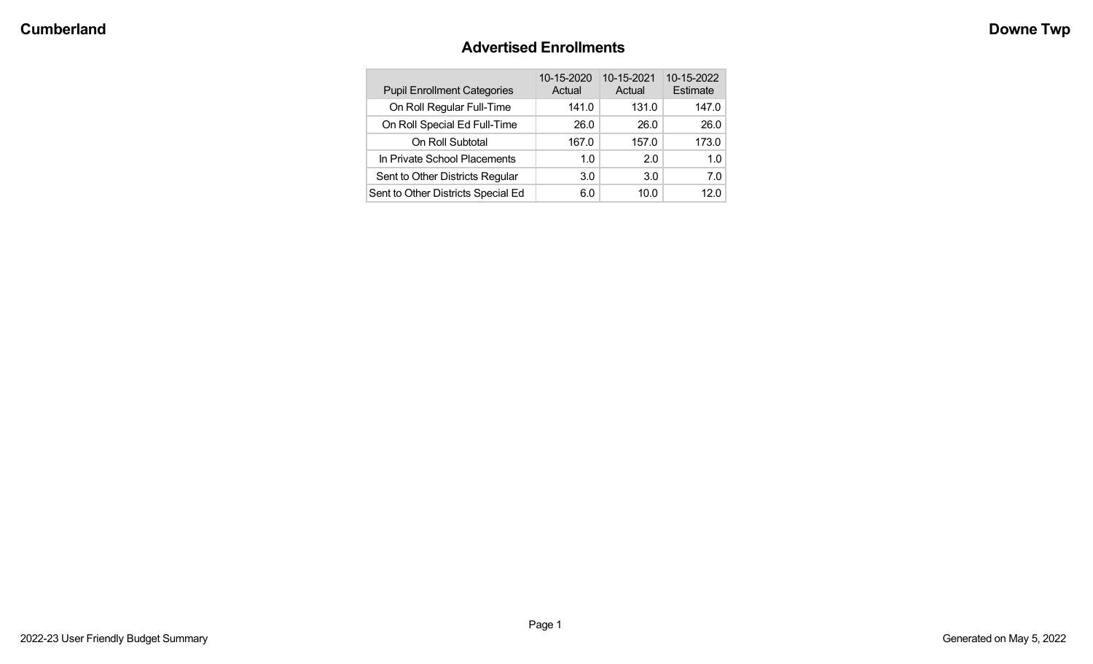# **Advertised Enrollments**

| <b>Pupil Enrollment Categories</b> | 10-15-2020<br>Actual | 10-15-2021<br>Actual | 10-15-2022<br>Estimate |
|------------------------------------|----------------------|----------------------|------------------------|
| On Roll Regular Full-Time          | 141.0                | 131.0                | 147.0                  |
| On Roll Special Ed Full-Time       | 26.0                 | 26.0                 | 26.0                   |
| On Roll Subtotal                   | 167.0                | 157.0                | 173.0                  |
| In Private School Placements       | 1.0                  | 2.0                  | 1.0                    |
| Sent to Other Districts Regular    | 3.0                  | 3.0                  | 7.0                    |
| Sent to Other Districts Special Ed | 6.0                  | 10.0                 | 12.0                   |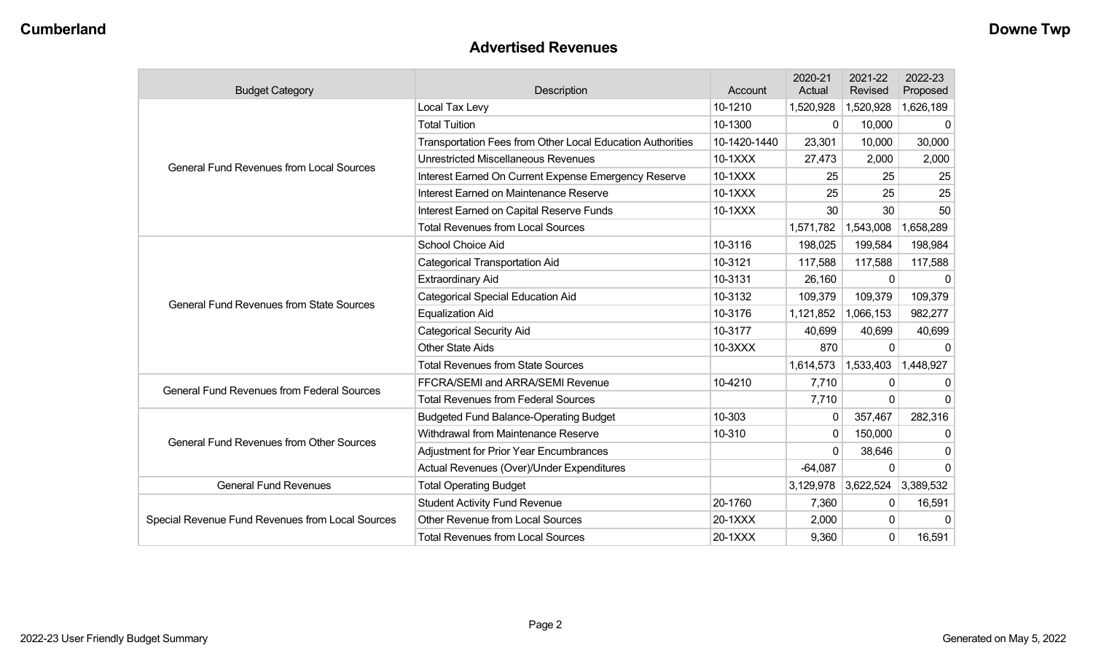### **Advertised Revenues**

| <b>Budget Category</b>                            | Description                                                | Account      | 2020-21<br>Actual | 2021-22<br>Revised  | 2022-23<br>Proposed |
|---------------------------------------------------|------------------------------------------------------------|--------------|-------------------|---------------------|---------------------|
|                                                   | Local Tax Levy                                             | 10-1210      | 1,520,928         | 1,520,928           | 1,626,189           |
|                                                   | <b>Total Tuition</b>                                       | 10-1300      | $\Omega$          | 10,000              | 0                   |
|                                                   | Transportation Fees from Other Local Education Authorities | 10-1420-1440 | 23,301            | 10,000              | 30,000              |
| <b>General Fund Revenues from Local Sources</b>   | <b>Unrestricted Miscellaneous Revenues</b>                 | 10-1XXX      | 27,473            | 2,000               | 2,000               |
|                                                   | Interest Earned On Current Expense Emergency Reserve       | 10-1XXX      | 25                | 25                  | 25                  |
|                                                   | Interest Earned on Maintenance Reserve                     | 10-1XXX      | 25                | 25                  | 25                  |
|                                                   | Interest Earned on Capital Reserve Funds                   | 10-1XXX      | 30                | 30                  | 50                  |
|                                                   | <b>Total Revenues from Local Sources</b>                   |              | 1,571,782         | 1,543,008           | 1,658,289           |
|                                                   | School Choice Aid                                          | 10-3116      | 198,025           | 199,584             | 198,984             |
|                                                   | Categorical Transportation Aid                             | 10-3121      | 117,588           | 117,588             | 117,588             |
|                                                   | <b>Extraordinary Aid</b>                                   | 10-3131      | 26,160            | $\Omega$            | $\Omega$            |
| <b>General Fund Revenues from State Sources</b>   | <b>Categorical Special Education Aid</b>                   | 10-3132      | 109,379           | 109,379             | 109,379             |
|                                                   | <b>Equalization Aid</b>                                    | 10-3176      | 1,121,852         | 1,066,153           | 982,277             |
|                                                   | <b>Categorical Security Aid</b>                            | 10-3177      | 40,699            | 40,699              | 40,699              |
|                                                   | <b>Other State Aids</b>                                    | 10-3XXX      | 870               | $\Omega$            | 0                   |
|                                                   | <b>Total Revenues from State Sources</b>                   |              | 1,614,573         | 1,533,403           | 1,448,927           |
| <b>General Fund Revenues from Federal Sources</b> | FFCRA/SEMI and ARRA/SEMI Revenue                           | 10-4210      | 7,710             | 0                   | 0                   |
|                                                   | <b>Total Revenues from Federal Sources</b>                 |              | 7,710             | $\Omega$            | 0                   |
|                                                   | <b>Budgeted Fund Balance-Operating Budget</b>              | 10-303       | $\Omega$          | 357,467             | 282,316             |
| <b>General Fund Revenues from Other Sources</b>   | Withdrawal from Maintenance Reserve                        | 10-310       | 0                 | 150,000             | $\mathbf{0}$        |
|                                                   | <b>Adjustment for Prior Year Encumbrances</b>              |              | $\Omega$          | 38,646              | 0                   |
|                                                   | Actual Revenues (Over)/Under Expenditures                  |              | $-64,087$         | $\Omega$            | 0                   |
| <b>General Fund Revenues</b>                      | <b>Total Operating Budget</b>                              |              |                   | 3,129,978 3,622,524 | 3,389,532           |
|                                                   | <b>Student Activity Fund Revenue</b>                       | 20-1760      | 7,360             | 0                   | 16,591              |
| Special Revenue Fund Revenues from Local Sources  | <b>Other Revenue from Local Sources</b>                    | 20-1XXX      | 2,000             | 0                   | $\Omega$            |
|                                                   | <b>Total Revenues from Local Sources</b>                   | 20-1XXX      | 9,360             | $\mathbf 0$         | 16,591              |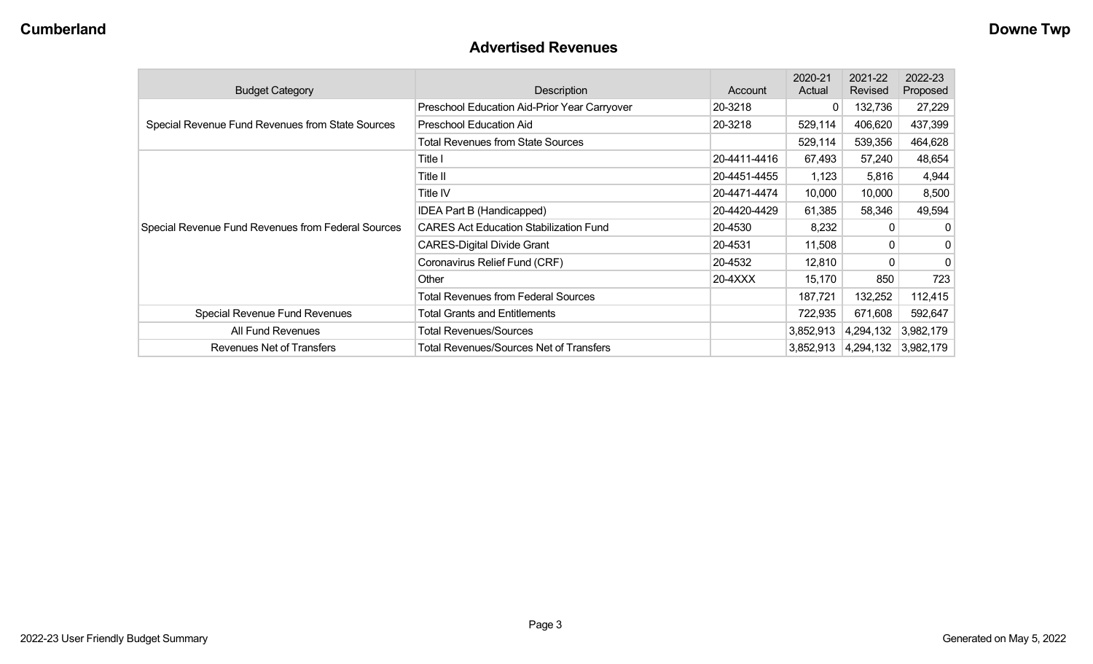### **Advertised Revenues**

| <b>Budget Category</b>                             | Description                                   | Account      | 2020-21<br>Actual | 2021-22<br>Revised  | 2022-23<br>Proposed |
|----------------------------------------------------|-----------------------------------------------|--------------|-------------------|---------------------|---------------------|
|                                                    | Preschool Education Aid-Prior Year Carryover  | 20-3218      | 0                 | 132,736             | 27,229              |
| Special Revenue Fund Revenues from State Sources   | Preschool Education Aid                       | 20-3218      | 529,114           | 406,620             | 437,399             |
|                                                    | <b>Total Revenues from State Sources</b>      |              | 529,114           | 539,356             | 464,628             |
|                                                    | Title I                                       | 20-4411-4416 | 67,493            | 57,240              | 48,654              |
|                                                    | Title II                                      | 20-4451-4455 | 1,123             | 5,816               | 4,944               |
|                                                    | Title IV                                      | 20-4471-4474 | 10,000            | 10,000              | 8,500               |
|                                                    | IDEA Part B (Handicapped)                     | 20-4420-4429 | 61,385            | 58,346              | 49,594              |
| Special Revenue Fund Revenues from Federal Sources | <b>CARES Act Education Stabilization Fund</b> | 20-4530      | 8,232             | 0                   | 0                   |
|                                                    | <b>CARES-Digital Divide Grant</b>             | 20-4531      | 11,508            | 0                   | 0                   |
|                                                    | Coronavirus Relief Fund (CRF)                 | 20-4532      | 12,810            | 0                   | 0                   |
|                                                    | Other                                         | 20-4XXX      | 15,170            | 850                 | 723                 |
|                                                    | <b>Total Revenues from Federal Sources</b>    |              | 187,721           | 132,252             | 112,415             |
| Special Revenue Fund Revenues                      | <b>Total Grants and Entitlements</b>          |              | 722,935           | 671,608             | 592,647             |
| All Fund Revenues                                  | <b>Total Revenues/Sources</b>                 |              | 3,852,913         | 4,294,132           | 3,982,179           |
| Revenues Net of Transfers                          | Total Revenues/Sources Net of Transfers       |              | 3,852,913         | 4,294,132 3,982,179 |                     |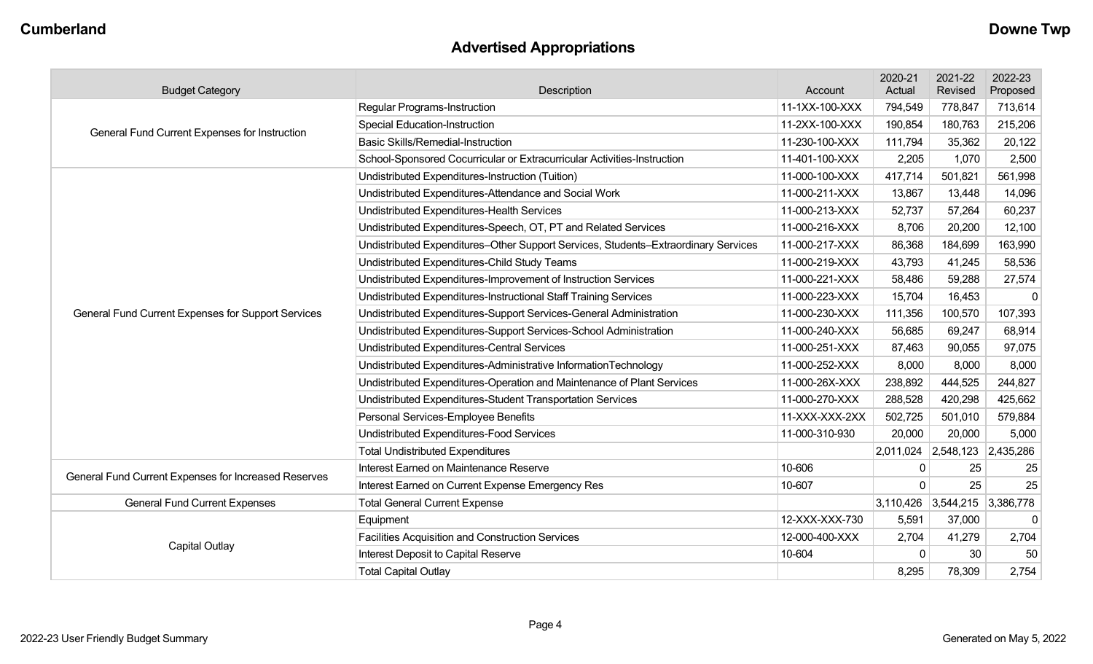# **Advertised Appropriations**

| <b>Budget Category</b>                               | Description                                                                        | Account        | 2020-21<br>Actual | 2021-22<br>Revised            | 2022-23<br>Proposed |
|------------------------------------------------------|------------------------------------------------------------------------------------|----------------|-------------------|-------------------------------|---------------------|
|                                                      | <b>Regular Programs-Instruction</b>                                                | 11-1XX-100-XXX | 794,549           | 778,847                       | 713,614             |
|                                                      | <b>Special Education-Instruction</b>                                               | 11-2XX-100-XXX | 190,854           | 180,763                       | 215,206             |
| General Fund Current Expenses for Instruction        | <b>Basic Skills/Remedial-Instruction</b>                                           | 11-230-100-XXX | 111,794           | 35,362                        | 20,122              |
|                                                      | School-Sponsored Cocurricular or Extracurricular Activities-Instruction            | 11-401-100-XXX | 2,205             | 1,070                         | 2,500               |
|                                                      | Undistributed Expenditures-Instruction (Tuition)                                   | 11-000-100-XXX | 417,714           | 501,821                       | 561,998             |
|                                                      | Undistributed Expenditures-Attendance and Social Work                              | 11-000-211-XXX | 13,867            | 13,448                        | 14,096              |
|                                                      | Undistributed Expenditures-Health Services                                         | 11-000-213-XXX | 52,737            | 57,264                        | 60,237              |
|                                                      | Undistributed Expenditures-Speech, OT, PT and Related Services                     | 11-000-216-XXX | 8,706             | 20,200                        | 12,100              |
|                                                      | Undistributed Expenditures-Other Support Services, Students-Extraordinary Services | 11-000-217-XXX | 86,368            | 184,699                       | 163,990             |
|                                                      | Undistributed Expenditures-Child Study Teams                                       | 11-000-219-XXX | 43,793            | 41,245                        | 58,536              |
|                                                      | Undistributed Expenditures-Improvement of Instruction Services                     | 11-000-221-XXX | 58,486            | 59,288                        | 27,574              |
|                                                      | Undistributed Expenditures-Instructional Staff Training Services                   | 11-000-223-XXX | 15,704            | 16,453                        | $\mathbf 0$         |
| General Fund Current Expenses for Support Services   | Undistributed Expenditures-Support Services-General Administration                 | 11-000-230-XXX | 111,356           | 100,570                       | 107,393             |
|                                                      | Undistributed Expenditures-Support Services-School Administration                  | 11-000-240-XXX | 56,685            | 69,247                        | 68,914              |
|                                                      | Undistributed Expenditures-Central Services                                        | 11-000-251-XXX | 87,463            | 90,055                        | 97,075              |
|                                                      | Undistributed Expenditures-Administrative InformationTechnology                    | 11-000-252-XXX | 8,000             | 8,000                         | 8,000               |
|                                                      | Undistributed Expenditures-Operation and Maintenance of Plant Services             | 11-000-26X-XXX | 238,892           | 444,525                       | 244,827             |
|                                                      | Undistributed Expenditures-Student Transportation Services                         | 11-000-270-XXX | 288,528           | 420,298                       | 425,662             |
|                                                      | Personal Services-Employee Benefits                                                | 11-XXX-XXX-2XX | 502,725           | 501,010                       | 579,884             |
|                                                      | Undistributed Expenditures-Food Services                                           | 11-000-310-930 | 20,000            | 20,000                        | 5,000               |
|                                                      | <b>Total Undistributed Expenditures</b>                                            |                |                   | 2,011,024 2,548,123 2,435,286 |                     |
| General Fund Current Expenses for Increased Reserves | Interest Earned on Maintenance Reserve                                             | 10-606         | $\mathbf 0$       | 25                            | 25                  |
|                                                      | Interest Earned on Current Expense Emergency Res                                   | 10-607         | $\Omega$          | 25                            | 25                  |
| <b>General Fund Current Expenses</b>                 | <b>Total General Current Expense</b>                                               |                |                   | 3,110,426 3,544,215 3,386,778 |                     |
|                                                      | Equipment                                                                          | 12-XXX-XXX-730 | 5,591             | 37,000                        | $\mathbf 0$         |
|                                                      | Facilities Acquisition and Construction Services                                   | 12-000-400-XXX | 2,704             | 41,279                        | 2,704               |
| <b>Capital Outlay</b>                                | Interest Deposit to Capital Reserve                                                | 10-604         | $\Omega$          | 30                            | 50                  |
|                                                      | <b>Total Capital Outlay</b>                                                        |                | 8,295             | 78,309                        | 2,754               |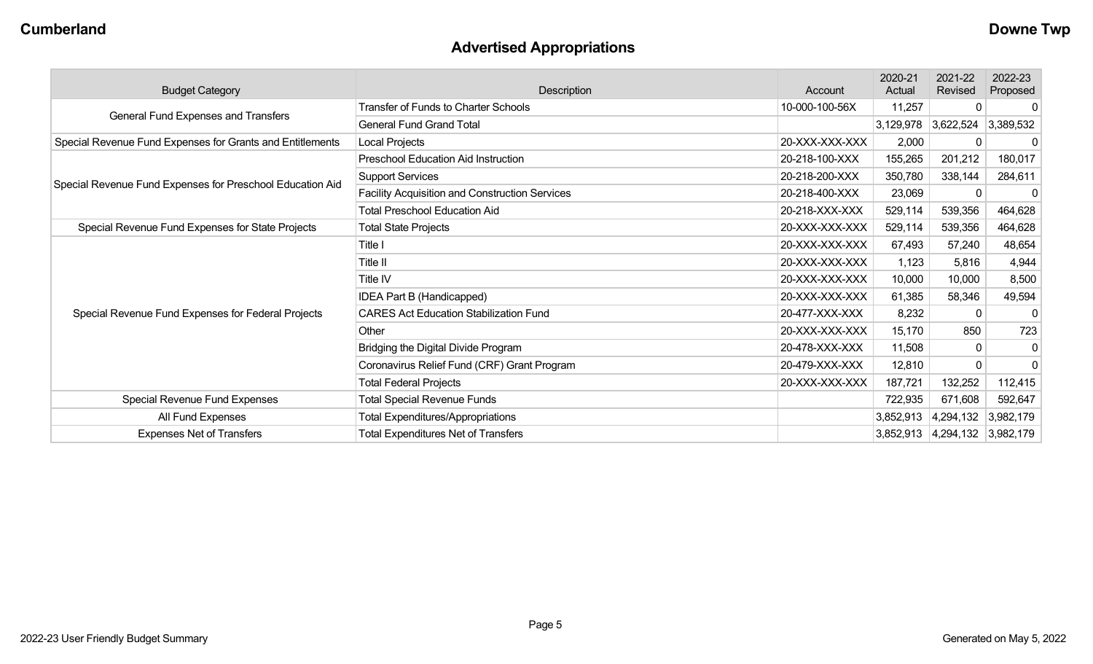# **Advertised Appropriations**

| <b>Budget Category</b>                                    | Description                                           | Account        | 2020-21<br>Actual | 2021-22<br>Revised  | 2022-23<br>Proposed |
|-----------------------------------------------------------|-------------------------------------------------------|----------------|-------------------|---------------------|---------------------|
| General Fund Expenses and Transfers                       | <b>Transfer of Funds to Charter Schools</b>           | 10-000-100-56X | 11,257            | $\mathbf{0}$        | $\mathbf 0$         |
|                                                           | <b>General Fund Grand Total</b>                       |                | 3,129,978         | 3,622,524           | 3,389,532           |
| Special Revenue Fund Expenses for Grants and Entitlements | Local Projects                                        | 20-XXX-XXX-XXX | 2,000             | $\mathbf 0$         | $\mathbf{0}$        |
|                                                           | <b>Preschool Education Aid Instruction</b>            | 20-218-100-XXX | 155,265           | 201,212             | 180,017             |
| Special Revenue Fund Expenses for Preschool Education Aid | <b>Support Services</b>                               | 20-218-200-XXX | 350,780           | 338,144             | 284,611             |
|                                                           | <b>Facility Acquisition and Construction Services</b> | 20-218-400-XXX | 23,069            | $\mathbf{0}$        | $\mathbf{0}$        |
|                                                           | <b>Total Preschool Education Aid</b>                  | 20-218-XXX-XXX | 529,114           | 539,356             | 464,628             |
| Special Revenue Fund Expenses for State Projects          | <b>Total State Projects</b>                           | 20-XXX-XXX-XXX | 529,114           | 539,356             | 464,628             |
|                                                           | Title I                                               | 20-XXX-XXX-XXX | 67,493            | 57,240              | 48,654              |
|                                                           | Title II                                              | 20-XXX-XXX-XXX | 1,123             | 5,816               | 4,944               |
|                                                           | Title IV                                              | 20-XXX-XXX-XXX | 10,000            | 10,000              | 8,500               |
|                                                           | IDEA Part B (Handicapped)                             | 20-XXX-XXX-XXX | 61,385            | 58,346              | 49,594              |
| Special Revenue Fund Expenses for Federal Projects        | <b>CARES Act Education Stabilization Fund</b>         | 20-477-XXX-XXX | 8,232             | 0                   | $\mathbf{0}$        |
|                                                           | Other                                                 | 20-XXX-XXX-XXX | 15,170            | 850                 | 723                 |
|                                                           | Bridging the Digital Divide Program                   | 20-478-XXX-XXX | 11,508            | $\overline{0}$      | $\mathbf 0$         |
|                                                           | Coronavirus Relief Fund (CRF) Grant Program           | 20-479-XXX-XXX | 12,810            | $\overline{0}$      | $\mathbf 0$         |
|                                                           | <b>Total Federal Projects</b>                         | 20-XXX-XXX-XXX | 187,721           | 132,252             | 112,415             |
| Special Revenue Fund Expenses                             | <b>Total Special Revenue Funds</b>                    |                | 722,935           | 671,608             | 592,647             |
| All Fund Expenses                                         | <b>Total Expenditures/Appropriations</b>              |                | 3,852,913         | 4,294,132           | 3,982,179           |
| <b>Expenses Net of Transfers</b>                          | <b>Total Expenditures Net of Transfers</b>            |                | 3,852,913         | 4,294,132 3,982,179 |                     |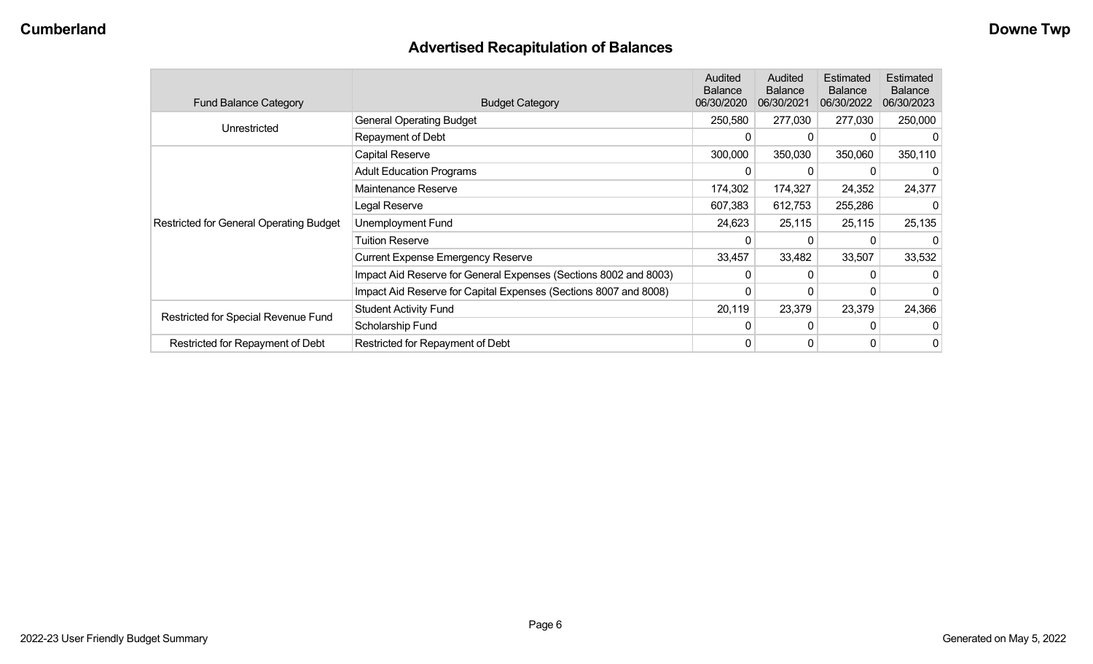# **Advertised Recapitulation of Balances**

| <b>Fund Balance Category</b>                   | <b>Budget Category</b>                                           | Audited<br><b>Balance</b><br>06/30/2020 | Audited<br><b>Balance</b><br>06/30/2021 | Estimated<br><b>Balance</b><br>06/30/2022 | Estimated<br><b>Balance</b><br>06/30/2023 |
|------------------------------------------------|------------------------------------------------------------------|-----------------------------------------|-----------------------------------------|-------------------------------------------|-------------------------------------------|
| Unrestricted                                   | <b>General Operating Budget</b>                                  | 250,580                                 | 277,030                                 | 277,030                                   | 250,000                                   |
|                                                | Repayment of Debt                                                | 0                                       |                                         |                                           |                                           |
|                                                | Capital Reserve                                                  | 300,000                                 | 350,030                                 | 350,060                                   | 350,110                                   |
|                                                | <b>Adult Education Programs</b>                                  | 0                                       |                                         |                                           | 0                                         |
|                                                | Maintenance Reserve                                              | 174,302                                 | 174,327                                 | 24,352                                    | 24,377                                    |
|                                                | Legal Reserve                                                    | 607,383                                 | 612,753                                 | 255,286                                   |                                           |
| <b>Restricted for General Operating Budget</b> | Unemployment Fund                                                | 24,623                                  | 25,115                                  | 25,115                                    | 25,135                                    |
|                                                | Tuition Reserve                                                  | 0                                       |                                         |                                           | 0                                         |
|                                                | <b>Current Expense Emergency Reserve</b>                         | 33,457                                  | 33,482                                  | 33,507                                    | 33,532                                    |
|                                                | Impact Aid Reserve for General Expenses (Sections 8002 and 8003) | 0                                       |                                         |                                           | O                                         |
|                                                | Impact Aid Reserve for Capital Expenses (Sections 8007 and 8008) | 0                                       |                                         |                                           | 0                                         |
|                                                | <b>Student Activity Fund</b>                                     | 20,119                                  | 23,379                                  | 23,379                                    | 24,366                                    |
| Restricted for Special Revenue Fund            | Scholarship Fund                                                 | 0                                       |                                         |                                           |                                           |
| Restricted for Repayment of Debt               | Restricted for Repayment of Debt                                 | 0                                       |                                         | 0                                         | 0                                         |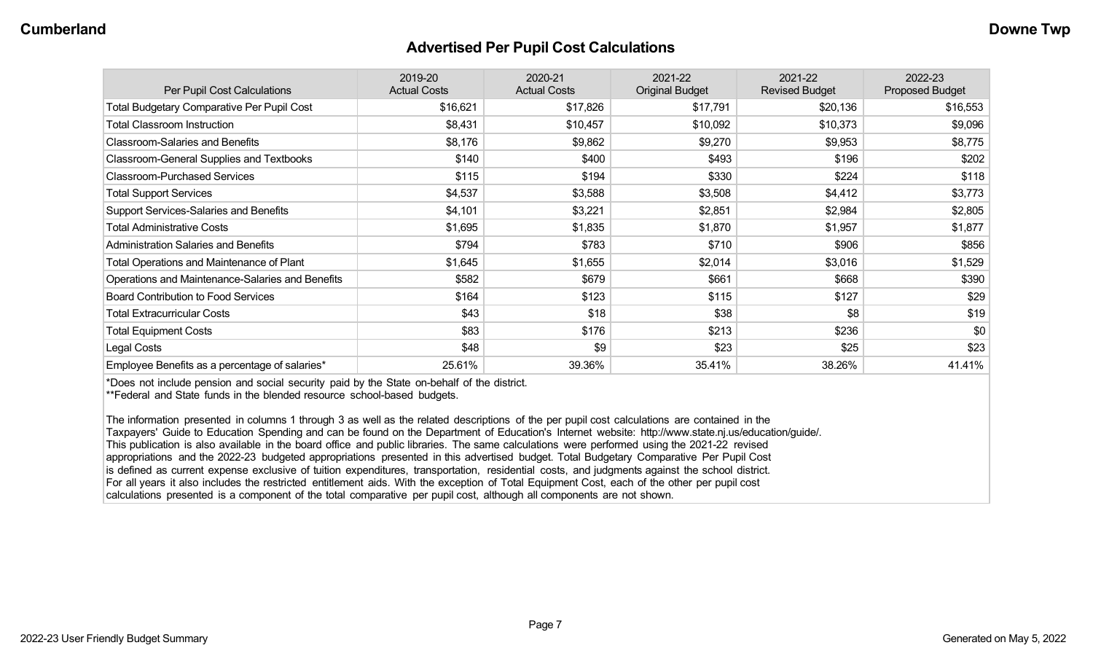#### **Advertised Per Pupil Cost Calculations**

| Per Pupil Cost Calculations                       | 2019-20<br><b>Actual Costs</b> | 2020-21<br><b>Actual Costs</b> | 2021-22<br><b>Original Budget</b> | 2021-22<br><b>Revised Budget</b> | 2022-23<br><b>Proposed Budget</b> |
|---------------------------------------------------|--------------------------------|--------------------------------|-----------------------------------|----------------------------------|-----------------------------------|
| <b>Total Budgetary Comparative Per Pupil Cost</b> | \$16,621                       | \$17,826                       | \$17,791                          | \$20,136                         | \$16,553                          |
| <b>Total Classroom Instruction</b>                | \$8,431                        | \$10,457                       | \$10,092                          | \$10,373                         | \$9,096                           |
| <b>Classroom-Salaries and Benefits</b>            | \$8,176                        | \$9,862                        | \$9,270                           | \$9,953                          | \$8,775                           |
| Classroom-General Supplies and Textbooks          | \$140                          | \$400                          | \$493                             | \$196                            | \$202                             |
| <b>Classroom-Purchased Services</b>               | \$115                          | \$194                          | \$330                             | \$224                            | \$118                             |
| <b>Total Support Services</b>                     | \$4,537                        | \$3,588                        | \$3,508                           | \$4,412                          | \$3,773                           |
| Support Services-Salaries and Benefits            | \$4,101                        | \$3,221                        | \$2,851                           | \$2,984                          | \$2,805                           |
| <b>Total Administrative Costs</b>                 | \$1,695                        | \$1,835                        | \$1,870                           | \$1,957                          | \$1,877                           |
| <b>Administration Salaries and Benefits</b>       | \$794                          | \$783                          | \$710                             | \$906                            | \$856                             |
| Total Operations and Maintenance of Plant         | \$1,645                        | \$1,655                        | \$2,014                           | \$3,016                          | \$1,529                           |
| Operations and Maintenance-Salaries and Benefits  | \$582                          | \$679                          | \$661                             | \$668                            | \$390                             |
| <b>Board Contribution to Food Services</b>        | \$164                          | \$123                          | \$115                             | \$127                            | \$29                              |
| <b>Total Extracurricular Costs</b>                | \$43                           | \$18                           | \$38                              | \$8                              | \$19                              |
| <b>Total Equipment Costs</b>                      | \$83                           | \$176                          | \$213                             | \$236                            | \$0                               |
| Legal Costs                                       | \$48                           | \$9                            | \$23                              | \$25                             | \$23                              |
| Employee Benefits as a percentage of salaries*    | 25.61%                         | 39.36%                         | 35.41%                            | 38.26%                           | 41.41%                            |

\*Does not include pension and social security paid by the State on-behalf of the district.

\*\*Federal and State funds in the blended resource school-based budgets.

The information presented in columns 1 through 3 as well as the related descriptions of the per pupil cost calculations are contained in the Taxpayers' Guide to Education Spending and can be found on the Department of Education's Internet website: http://www.state.nj.us/education/guide/. This publication is also available in the board office and public libraries. The same calculations were performed using the 2021-22 revised appropriations and the 2022-23 budgeted appropriations presented in this advertised budget. Total Budgetary Comparative Per Pupil Cost is defined as current expense exclusive of tuition expenditures, transportation, residential costs, and judgments against the school district. For all years it also includes the restricted entitlement aids. With the exception of Total Equipment Cost, each of the other per pupil cost calculations presented is a component of the total comparative per pupil cost, although all components are not shown.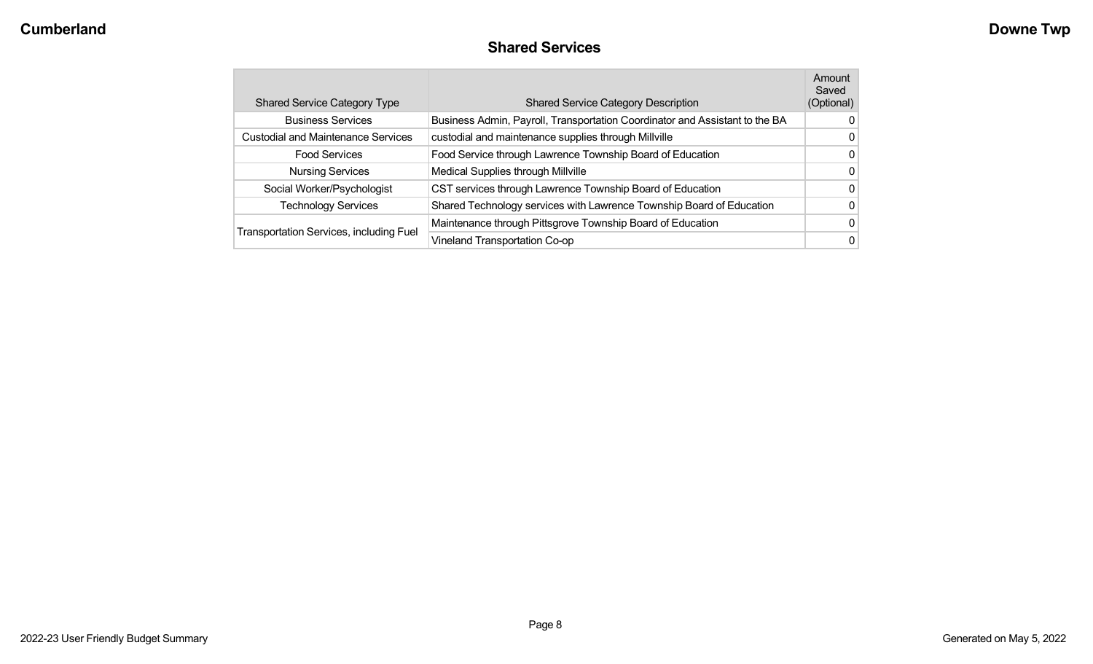| <b>Shared Service Category Type</b>            | <b>Shared Service Category Description</b>                                  | Amount<br>Saved<br>(Optional) |
|------------------------------------------------|-----------------------------------------------------------------------------|-------------------------------|
| <b>Business Services</b>                       | Business Admin, Payroll, Transportation Coordinator and Assistant to the BA | 0                             |
| <b>Custodial and Maintenance Services</b>      | custodial and maintenance supplies through Millville                        | 0                             |
| <b>Food Services</b>                           | Food Service through Lawrence Township Board of Education                   | 0                             |
| <b>Nursing Services</b>                        | Medical Supplies through Millville                                          | 0                             |
| Social Worker/Psychologist                     | CST services through Lawrence Township Board of Education                   | 0                             |
| <b>Technology Services</b>                     | Shared Technology services with Lawrence Township Board of Education        | 0                             |
|                                                | Maintenance through Pittsgrove Township Board of Education                  | 0                             |
| <b>Transportation Services, including Fuel</b> | Vineland Transportation Co-op                                               | 0                             |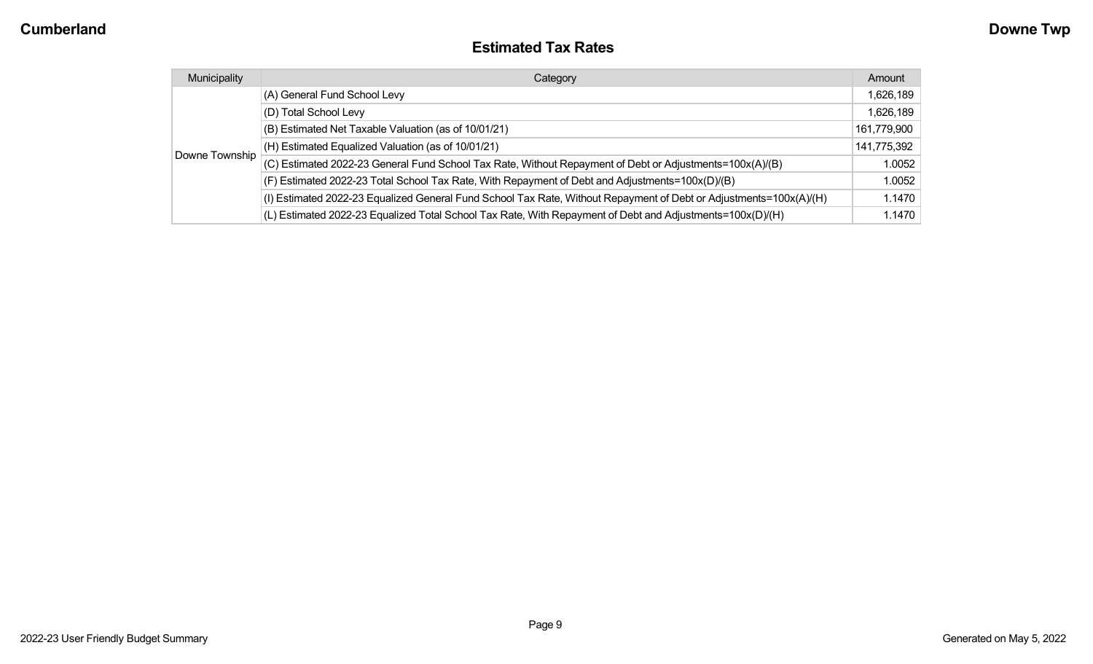### **Estimated Tax Rates**

| Municipality   | Category                                                                                                           | Amount      |
|----------------|--------------------------------------------------------------------------------------------------------------------|-------------|
| Downe Township | (A) General Fund School Levy                                                                                       | 1,626,189   |
|                | (D) Total School Levy                                                                                              | 1,626,189   |
|                | (B) Estimated Net Taxable Valuation (as of 10/01/21)                                                               | 161,779,900 |
|                | (H) Estimated Equalized Valuation (as of 10/01/21)                                                                 | 141,775,392 |
|                | (C) Estimated 2022-23 General Fund School Tax Rate, Without Repayment of Debt or Adjustments=100x(A)/(B)           | 1.0052      |
|                | (F) Estimated 2022-23 Total School Tax Rate, With Repayment of Debt and Adjustments=100x(D)/(B)                    | 1.0052      |
|                | (I) Estimated 2022-23 Equalized General Fund School Tax Rate, Without Repayment of Debt or Adjustments=100x(A)/(H) | 1.1470      |
|                | (L) Estimated 2022-23 Equalized Total School Tax Rate, With Repayment of Debt and Adjustments=100x(D)/(H)          | 1.1470      |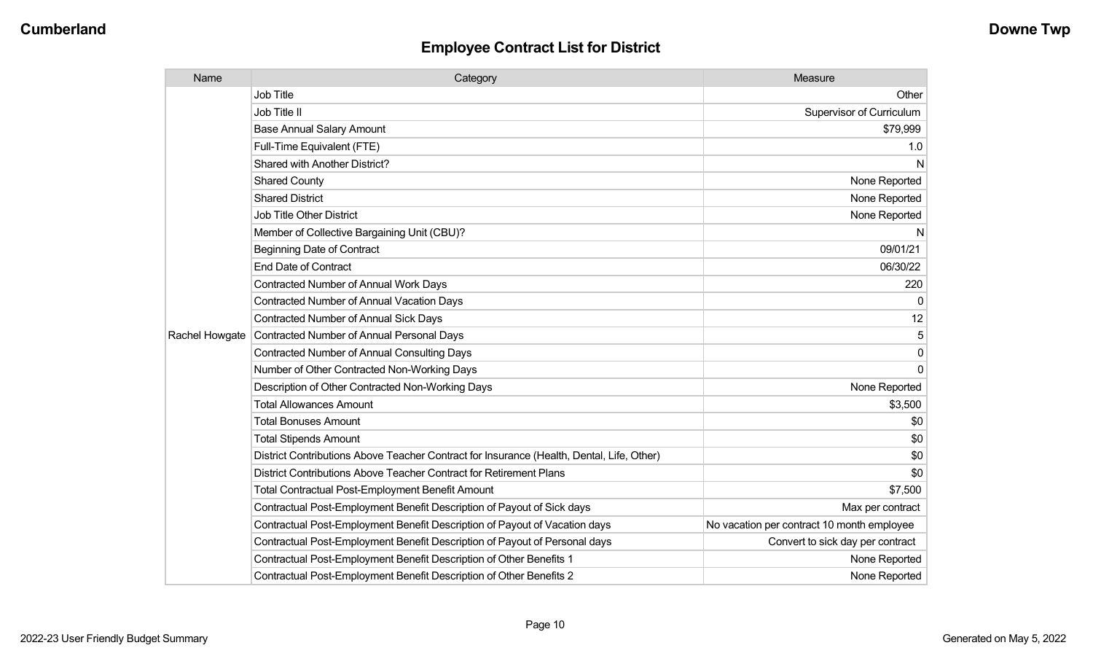| Name           | Category                                                                                  | Measure                                    |
|----------------|-------------------------------------------------------------------------------------------|--------------------------------------------|
|                | <b>Job Title</b>                                                                          | Other                                      |
|                | Job Title II                                                                              | Supervisor of Curriculum                   |
|                | <b>Base Annual Salary Amount</b>                                                          | \$79,999                                   |
|                | Full-Time Equivalent (FTE)                                                                | 1.0                                        |
|                | Shared with Another District?                                                             | N.                                         |
|                | <b>Shared County</b>                                                                      | None Reported                              |
|                | <b>Shared District</b>                                                                    | None Reported                              |
|                | <b>Job Title Other District</b>                                                           | None Reported                              |
|                | Member of Collective Bargaining Unit (CBU)?                                               | N                                          |
|                | <b>Beginning Date of Contract</b>                                                         | 09/01/21                                   |
|                | <b>End Date of Contract</b>                                                               | 06/30/22                                   |
|                | <b>Contracted Number of Annual Work Days</b>                                              | 220                                        |
|                | <b>Contracted Number of Annual Vacation Days</b>                                          | $\mathbf{0}$                               |
|                | <b>Contracted Number of Annual Sick Days</b>                                              | 12                                         |
| Rachel Howgate | <b>Contracted Number of Annual Personal Days</b>                                          | 5                                          |
|                | <b>Contracted Number of Annual Consulting Days</b>                                        | $\mathbf 0$                                |
|                | Number of Other Contracted Non-Working Days                                               | $\mathbf{0}$                               |
|                | Description of Other Contracted Non-Working Days                                          | None Reported                              |
|                | <b>Total Allowances Amount</b>                                                            | \$3,500                                    |
|                | <b>Total Bonuses Amount</b>                                                               | \$0                                        |
|                | <b>Total Stipends Amount</b>                                                              | \$0                                        |
|                | District Contributions Above Teacher Contract for Insurance (Health, Dental, Life, Other) | \$0                                        |
|                | District Contributions Above Teacher Contract for Retirement Plans                        | \$0                                        |
|                | <b>Total Contractual Post-Employment Benefit Amount</b>                                   | \$7,500                                    |
|                | Contractual Post-Employment Benefit Description of Payout of Sick days                    | Max per contract                           |
|                | Contractual Post-Employment Benefit Description of Payout of Vacation days                | No vacation per contract 10 month employee |
|                | Contractual Post-Employment Benefit Description of Payout of Personal days                | Convert to sick day per contract           |
|                | Contractual Post-Employment Benefit Description of Other Benefits 1                       | None Reported                              |
|                | Contractual Post-Employment Benefit Description of Other Benefits 2                       | None Reported                              |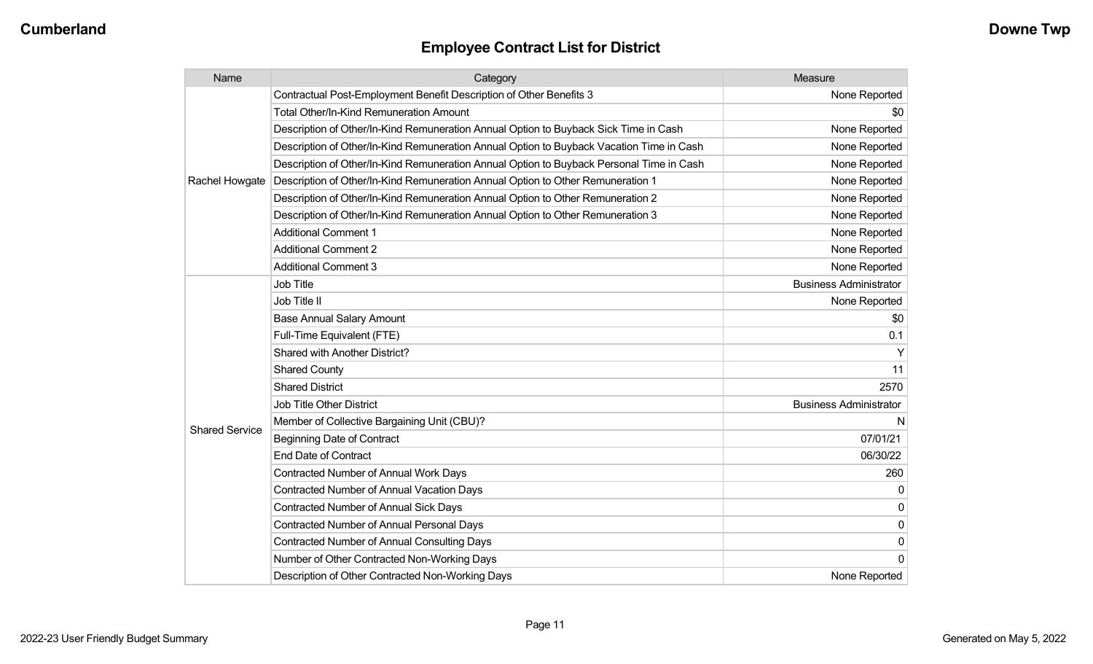| Name                  | Category                                                                                 | Measure                       |
|-----------------------|------------------------------------------------------------------------------------------|-------------------------------|
|                       | Contractual Post-Employment Benefit Description of Other Benefits 3                      | None Reported                 |
|                       | <b>Total Other/In-Kind Remuneration Amount</b>                                           | \$0                           |
|                       | Description of Other/In-Kind Remuneration Annual Option to Buyback Sick Time in Cash     | None Reported                 |
|                       | Description of Other/In-Kind Remuneration Annual Option to Buyback Vacation Time in Cash | None Reported                 |
|                       | Description of Other/In-Kind Remuneration Annual Option to Buyback Personal Time in Cash | None Reported                 |
| Rachel Howgate        | Description of Other/In-Kind Remuneration Annual Option to Other Remuneration 1          | None Reported                 |
|                       | Description of Other/In-Kind Remuneration Annual Option to Other Remuneration 2          | None Reported                 |
|                       | Description of Other/In-Kind Remuneration Annual Option to Other Remuneration 3          | None Reported                 |
|                       | <b>Additional Comment 1</b>                                                              | None Reported                 |
|                       | <b>Additional Comment 2</b>                                                              | None Reported                 |
|                       | <b>Additional Comment 3</b>                                                              | None Reported                 |
|                       | Job Title                                                                                | <b>Business Administrator</b> |
|                       | Job Title II                                                                             | None Reported                 |
|                       | <b>Base Annual Salary Amount</b>                                                         | \$0                           |
|                       | Full-Time Equivalent (FTE)                                                               | 0.1                           |
|                       | Shared with Another District?                                                            |                               |
|                       | <b>Shared County</b>                                                                     | 11                            |
|                       | <b>Shared District</b>                                                                   | 2570                          |
|                       | Job Title Other District                                                                 | <b>Business Administrator</b> |
|                       | Member of Collective Bargaining Unit (CBU)?                                              | N                             |
| <b>Shared Service</b> | <b>Beginning Date of Contract</b>                                                        | 07/01/21                      |
|                       | <b>End Date of Contract</b>                                                              | 06/30/22                      |
|                       | Contracted Number of Annual Work Days                                                    | 260                           |
|                       | <b>Contracted Number of Annual Vacation Days</b>                                         | $\Omega$                      |
|                       | Contracted Number of Annual Sick Days                                                    | 0                             |
|                       | Contracted Number of Annual Personal Days                                                | 0                             |
|                       | <b>Contracted Number of Annual Consulting Days</b>                                       | 0                             |
|                       | Number of Other Contracted Non-Working Days                                              | $\Omega$                      |
|                       | Description of Other Contracted Non-Working Days                                         | None Reported                 |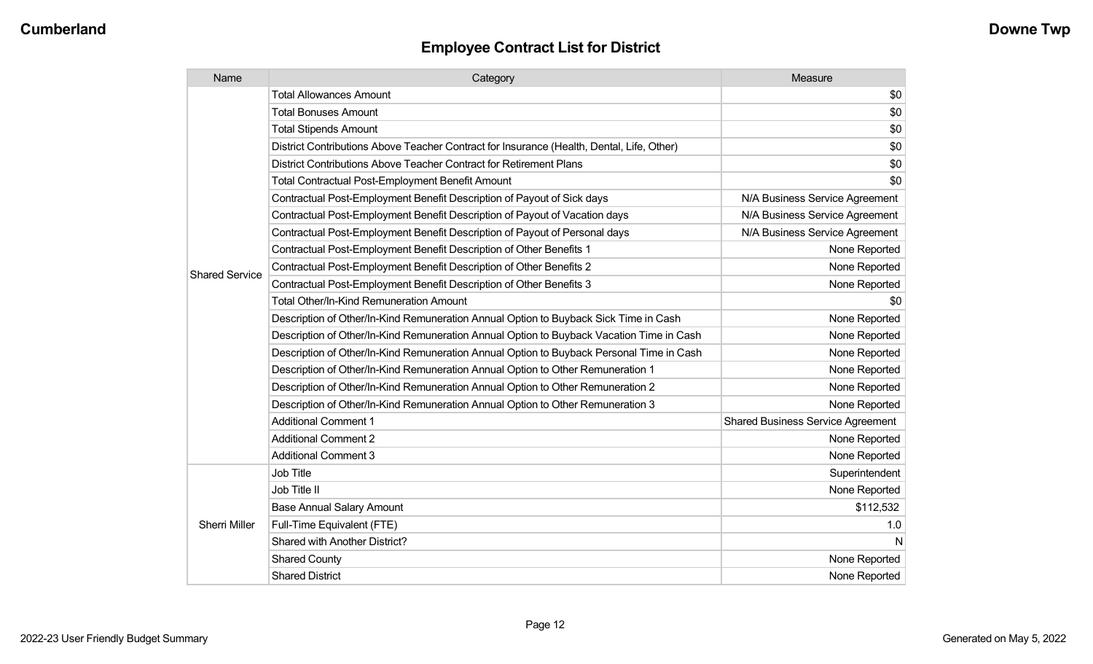| Name                  | Category                                                                                  | Measure                                  |
|-----------------------|-------------------------------------------------------------------------------------------|------------------------------------------|
|                       | Total Allowances Amount                                                                   | \$0                                      |
|                       | <b>Total Bonuses Amount</b>                                                               | \$0                                      |
|                       | <b>Total Stipends Amount</b>                                                              | \$0                                      |
|                       | District Contributions Above Teacher Contract for Insurance (Health, Dental, Life, Other) | \$0                                      |
|                       | District Contributions Above Teacher Contract for Retirement Plans                        | \$0                                      |
|                       | <b>Total Contractual Post-Employment Benefit Amount</b>                                   | \$0                                      |
|                       | Contractual Post-Employment Benefit Description of Payout of Sick days                    | N/A Business Service Agreement           |
|                       | Contractual Post-Employment Benefit Description of Payout of Vacation days                | N/A Business Service Agreement           |
|                       | Contractual Post-Employment Benefit Description of Payout of Personal days                | N/A Business Service Agreement           |
|                       | Contractual Post-Employment Benefit Description of Other Benefits 1                       | None Reported                            |
| <b>Shared Service</b> | Contractual Post-Employment Benefit Description of Other Benefits 2                       | None Reported                            |
|                       | Contractual Post-Employment Benefit Description of Other Benefits 3                       | None Reported                            |
|                       | Total Other/In-Kind Remuneration Amount                                                   | \$0                                      |
|                       | Description of Other/In-Kind Remuneration Annual Option to Buyback Sick Time in Cash      | None Reported                            |
|                       | Description of Other/In-Kind Remuneration Annual Option to Buyback Vacation Time in Cash  | None Reported                            |
|                       | Description of Other/In-Kind Remuneration Annual Option to Buyback Personal Time in Cash  | None Reported                            |
|                       | Description of Other/In-Kind Remuneration Annual Option to Other Remuneration 1           | None Reported                            |
|                       | Description of Other/In-Kind Remuneration Annual Option to Other Remuneration 2           | None Reported                            |
|                       | Description of Other/In-Kind Remuneration Annual Option to Other Remuneration 3           | None Reported                            |
|                       | <b>Additional Comment 1</b>                                                               | <b>Shared Business Service Agreement</b> |
|                       | <b>Additional Comment 2</b>                                                               | None Reported                            |
|                       | <b>Additional Comment 3</b>                                                               | None Reported                            |
|                       | Job Title                                                                                 | Superintendent                           |
|                       | Job Title II                                                                              | None Reported                            |
|                       | <b>Base Annual Salary Amount</b>                                                          | \$112,532                                |
| <b>Sherri Miller</b>  | Full-Time Equivalent (FTE)                                                                | 1.0                                      |
|                       | Shared with Another District?                                                             | N                                        |
|                       | <b>Shared County</b>                                                                      | None Reported                            |
|                       | <b>Shared District</b>                                                                    | None Reported                            |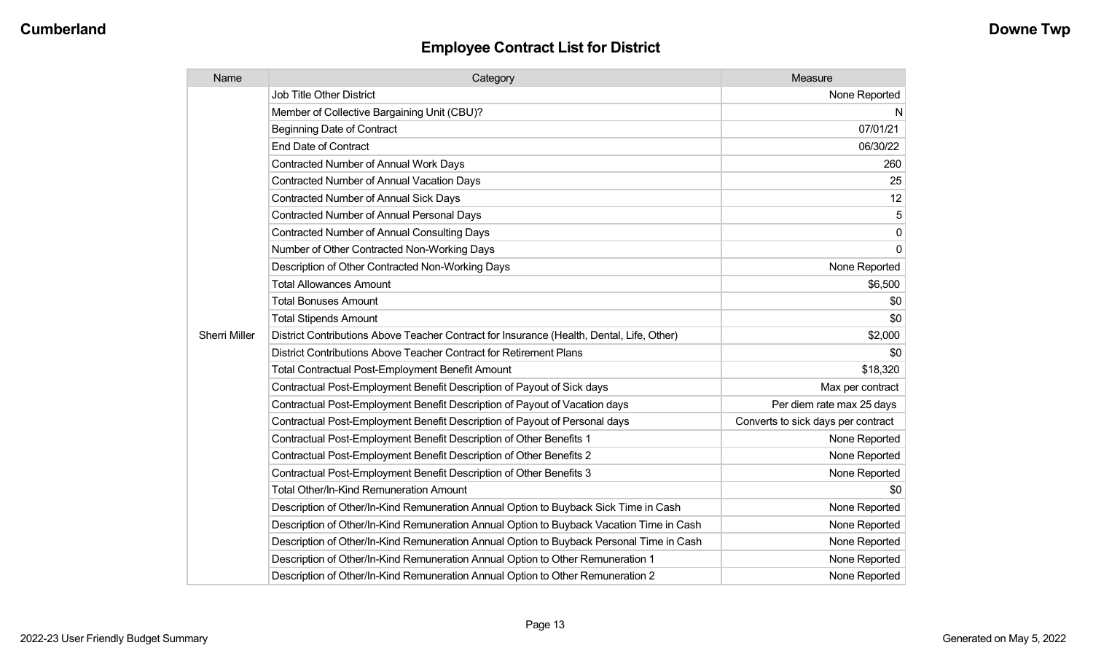| Name                 | Category                                                                                  | Measure                            |
|----------------------|-------------------------------------------------------------------------------------------|------------------------------------|
| <b>Sherri Miller</b> | <b>Job Title Other District</b>                                                           | None Reported                      |
|                      | Member of Collective Bargaining Unit (CBU)?                                               | N.                                 |
|                      | <b>Beginning Date of Contract</b>                                                         | 07/01/21                           |
|                      | <b>End Date of Contract</b>                                                               | 06/30/22                           |
|                      | <b>Contracted Number of Annual Work Days</b>                                              | 260                                |
|                      | Contracted Number of Annual Vacation Days                                                 | 25                                 |
|                      | Contracted Number of Annual Sick Days                                                     | 12                                 |
|                      | <b>Contracted Number of Annual Personal Days</b>                                          | 5                                  |
|                      | Contracted Number of Annual Consulting Days                                               | $\mathbf 0$                        |
|                      | Number of Other Contracted Non-Working Days                                               | $\mathbf 0$                        |
|                      | Description of Other Contracted Non-Working Days                                          | None Reported                      |
|                      | <b>Total Allowances Amount</b>                                                            | \$6,500                            |
|                      | <b>Total Bonuses Amount</b>                                                               | \$0                                |
|                      | <b>Total Stipends Amount</b>                                                              | \$0                                |
|                      | District Contributions Above Teacher Contract for Insurance (Health, Dental, Life, Other) | \$2,000                            |
|                      | District Contributions Above Teacher Contract for Retirement Plans                        | \$0                                |
|                      | <b>Total Contractual Post-Employment Benefit Amount</b>                                   | \$18,320                           |
|                      | Contractual Post-Employment Benefit Description of Payout of Sick days                    | Max per contract                   |
|                      | Contractual Post-Employment Benefit Description of Payout of Vacation days                | Per diem rate max 25 days          |
|                      | Contractual Post-Employment Benefit Description of Payout of Personal days                | Converts to sick days per contract |
|                      | Contractual Post-Employment Benefit Description of Other Benefits 1                       | None Reported                      |
|                      | Contractual Post-Employment Benefit Description of Other Benefits 2                       | None Reported                      |
|                      | Contractual Post-Employment Benefit Description of Other Benefits 3                       | None Reported                      |
|                      | Total Other/In-Kind Remuneration Amount                                                   | \$0                                |
|                      | Description of Other/In-Kind Remuneration Annual Option to Buyback Sick Time in Cash      | None Reported                      |
|                      | Description of Other/In-Kind Remuneration Annual Option to Buyback Vacation Time in Cash  | None Reported                      |
|                      | Description of Other/In-Kind Remuneration Annual Option to Buyback Personal Time in Cash  | None Reported                      |
|                      | Description of Other/In-Kind Remuneration Annual Option to Other Remuneration 1           | None Reported                      |
|                      | Description of Other/In-Kind Remuneration Annual Option to Other Remuneration 2           | None Reported                      |